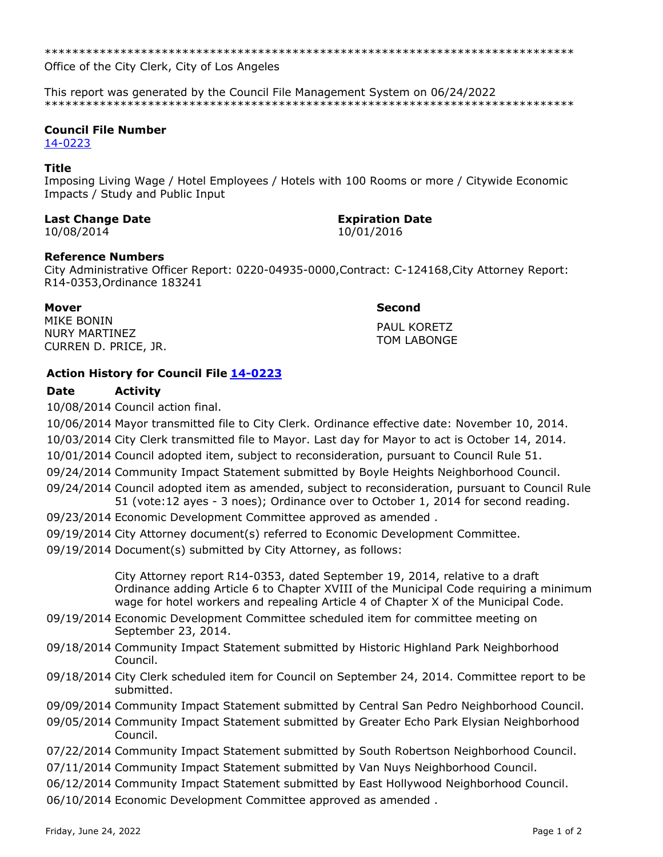\*\*\*\*\*\*\*\*\*\*\*\*\*\*\*\*\*\*\*\*\*\*\*\*\*\*\*\*\*\*\*\*\*\*\*\*\*\*\*\*\*\*\*\*\*\*\*\*\*\*\*\*\*\*\*\*\*\*\*\*\*\*\*\*\*\*\*\*\*\*\*\*\*\*\*\*\*

Office of the City Clerk, City of Los Angeles

This report was generated by the Council File Management System on 06/24/2022 \*\*\*\*\*\*\*\*\*\*\*\*\*\*\*\*\*\*\*\*\*\*\*\*\*\*\*\*\*\*\*\*\*\*\*\*\*\*\*\*\*\*\*\*\*\*\*\*\*\*\*\*\*\*\*\*\*\*\*\*\*\*\*\*\*\*\*\*\*\*\*\*\*\*\*\*\*

### **Council File Number**

[14-0223](https://cityclerk.lacity.org/lacityclerkconnect/index.cfm?fa=ccfi.viewrecord&cfnumber=14-0223)

# **Title**

Imposing Living Wage / Hotel Employees / Hotels with 100 Rooms or more / Citywide Economic Impacts / Study and Public Input

### **Last Change Date Expiration Date**

10/08/2014 10/01/2016

### **Reference Numbers**

City Administrative Officer Report: 0220-04935-0000,Contract: C-124168,City Attorney Report: R14-0353,Ordinance 183241

**Mover Second**

MIKE BONIN NURY MARTINEZ CURREN D. PRICE, JR.

PAUL KORETZ TOM LABONGE

# **Action History for Council File [14-0223](https://cityclerk.lacity.org/lacityclerkconnect/index.cfm?fa=ccfi.viewrecord&cfnumber=14-0223)**

# **Date Activity**

10/08/2014 Council action final.

| 10/06/2014 Mayor transmitted file to City Clerk. Ordinance effective date: November 10, 2014.                                                                                                                                                               |
|-------------------------------------------------------------------------------------------------------------------------------------------------------------------------------------------------------------------------------------------------------------|
| 10/03/2014 City Clerk transmitted file to Mayor. Last day for Mayor to act is October 14, 2014.                                                                                                                                                             |
| 10/01/2014 Council adopted item, subject to reconsideration, pursuant to Council Rule 51.                                                                                                                                                                   |
| 09/24/2014 Community Impact Statement submitted by Boyle Heights Neighborhood Council.                                                                                                                                                                      |
| 09/24/2014 Council adopted item as amended, subject to reconsideration, pursuant to Council Rule<br>51 (vote:12 ayes - 3 noes); Ordinance over to October 1, 2014 for second reading.                                                                       |
| 09/23/2014 Economic Development Committee approved as amended.                                                                                                                                                                                              |
| 09/19/2014 City Attorney document(s) referred to Economic Development Committee.                                                                                                                                                                            |
| 09/19/2014 Document(s) submitted by City Attorney, as follows:                                                                                                                                                                                              |
| City Attorney report R14-0353, dated September 19, 2014, relative to a draft<br>Ordinance adding Article 6 to Chapter XVIII of the Municipal Code requiring a minimum<br>wage for hotel workers and repealing Article 4 of Chapter X of the Municipal Code. |
| 09/19/2014 Economic Development Committee scheduled item for committee meeting on<br>September 23, 2014.                                                                                                                                                    |
| 09/18/2014 Community Impact Statement submitted by Historic Highland Park Neighborhood<br>Council.                                                                                                                                                          |
| 09/18/2014 City Clerk scheduled item for Council on September 24, 2014. Committee report to be<br>submitted.                                                                                                                                                |
| 09/09/2014 Community Impact Statement submitted by Central San Pedro Neighborhood Council.                                                                                                                                                                  |
| 09/05/2014 Community Impact Statement submitted by Greater Echo Park Elysian Neighborhood<br>Council.                                                                                                                                                       |
| 07/22/2014 Community Impact Statement submitted by South Robertson Neighborhood Council.                                                                                                                                                                    |
| 07/11/2014 Community Impact Statement submitted by Van Nuys Neighborhood Council.                                                                                                                                                                           |
| 06/12/2014 Community Impact Statement submitted by East Hollywood Neighborhood Council.                                                                                                                                                                     |
| 06/10/2014 Economic Development Committee approved as amended.                                                                                                                                                                                              |
|                                                                                                                                                                                                                                                             |